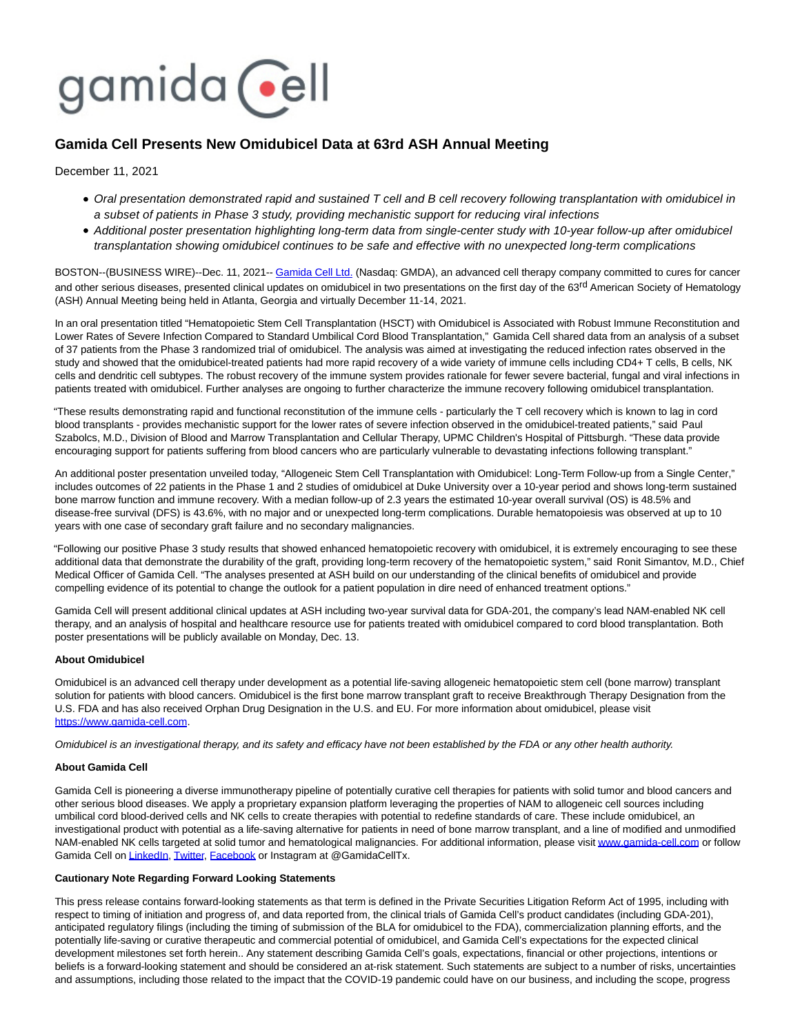

## **Gamida Cell Presents New Omidubicel Data at 63rd ASH Annual Meeting**

December 11, 2021

- Oral presentation demonstrated rapid and sustained T cell and B cell recovery following transplantation with omidubicel in a subset of patients in Phase 3 study, providing mechanistic support for reducing viral infections
- Additional poster presentation highlighting long-term data from single-center study with 10-year follow-up after omidubicel transplantation showing omidubicel continues to be safe and effective with no unexpected long-term complications

BOSTON--(BUSINESS WIRE)--Dec. 11, 2021-[- Gamida Cell Ltd. \(](https://cts.businesswire.com/ct/CT?id=smartlink&url=http%3A%2F%2Fwww.gamida-cell.com%2F&esheet=52548964&newsitemid=20211211005009&lan=en-US&anchor=Gamida+Cell+Ltd.&index=1&md5=d78af0385d7683438d983cc6e5dde39b)Nasdaq: GMDA), an advanced cell therapy company committed to cures for cancer and other serious diseases, presented clinical updates on omidubicel in two presentations on the first day of the 63<sup>rd</sup> American Society of Hematology (ASH) Annual Meeting being held in Atlanta, Georgia and virtually December 11-14, 2021.

In an oral presentation titled "Hematopoietic Stem Cell Transplantation (HSCT) with Omidubicel is Associated with Robust Immune Reconstitution and Lower Rates of Severe Infection Compared to Standard Umbilical Cord Blood Transplantation," Gamida Cell shared data from an analysis of a subset of 37 patients from the Phase 3 randomized trial of omidubicel. The analysis was aimed at investigating the reduced infection rates observed in the study and showed that the omidubicel-treated patients had more rapid recovery of a wide variety of immune cells including CD4+ T cells, B cells, NK cells and dendritic cell subtypes. The robust recovery of the immune system provides rationale for fewer severe bacterial, fungal and viral infections in patients treated with omidubicel. Further analyses are ongoing to further characterize the immune recovery following omidubicel transplantation.

"These results demonstrating rapid and functional reconstitution of the immune cells - particularly the T cell recovery which is known to lag in cord blood transplants - provides mechanistic support for the lower rates of severe infection observed in the omidubicel-treated patients," said Paul Szabolcs, M.D., Division of Blood and Marrow Transplantation and Cellular Therapy, UPMC Children's Hospital of Pittsburgh. "These data provide encouraging support for patients suffering from blood cancers who are particularly vulnerable to devastating infections following transplant."

An additional poster presentation unveiled today, "Allogeneic Stem Cell Transplantation with Omidubicel: Long-Term Follow-up from a Single Center," includes outcomes of 22 patients in the Phase 1 and 2 studies of omidubicel at Duke University over a 10-year period and shows long-term sustained bone marrow function and immune recovery. With a median follow-up of 2.3 years the estimated 10-year overall survival (OS) is 48.5% and disease-free survival (DFS) is 43.6%, with no major and or unexpected long-term complications. Durable hematopoiesis was observed at up to 10 years with one case of secondary graft failure and no secondary malignancies.

"Following our positive Phase 3 study results that showed enhanced hematopoietic recovery with omidubicel, it is extremely encouraging to see these additional data that demonstrate the durability of the graft, providing long-term recovery of the hematopoietic system," said Ronit Simantov, M.D., Chief Medical Officer of Gamida Cell. "The analyses presented at ASH build on our understanding of the clinical benefits of omidubicel and provide compelling evidence of its potential to change the outlook for a patient population in dire need of enhanced treatment options."

Gamida Cell will present additional clinical updates at ASH including two-year survival data for GDA-201, the company's lead NAM-enabled NK cell therapy, and an analysis of hospital and healthcare resource use for patients treated with omidubicel compared to cord blood transplantation. Both poster presentations will be publicly available on Monday, Dec. 13.

## **About Omidubicel**

Omidubicel is an advanced cell therapy under development as a potential life-saving allogeneic hematopoietic stem cell (bone marrow) transplant solution for patients with blood cancers. Omidubicel is the first bone marrow transplant graft to receive Breakthrough Therapy Designation from the U.S. FDA and has also received Orphan Drug Designation in the U.S. and EU. For more information about omidubicel, please visit [https://www.gamida-cell.com.](https://cts.businesswire.com/ct/CT?id=smartlink&url=https%3A%2F%2Fwww.gamida-cell.com&esheet=52548964&newsitemid=20211211005009&lan=en-US&anchor=https%3A%2F%2Fwww.gamida-cell.com&index=2&md5=bb59b11d999c0186e657337a37931ca8)

Omidubicel is an investigational therapy, and its safety and efficacy have not been established by the FDA or any other health authority.

## **About Gamida Cell**

Gamida Cell is pioneering a diverse immunotherapy pipeline of potentially curative cell therapies for patients with solid tumor and blood cancers and other serious blood diseases. We apply a proprietary expansion platform leveraging the properties of NAM to allogeneic cell sources including umbilical cord blood-derived cells and NK cells to create therapies with potential to redefine standards of care. These include omidubicel, an investigational product with potential as a life-saving alternative for patients in need of bone marrow transplant, and a line of modified and unmodified NAM-enabled NK cells targeted at solid tumor and hematological malignancies. For additional information, please visi[t www.gamida-cell.com o](https://cts.businesswire.com/ct/CT?id=smartlink&url=http%3A%2F%2Fwww.gamida-cell.com%2F&esheet=52548964&newsitemid=20211211005009&lan=en-US&anchor=www.gamida-cell.com&index=3&md5=6cd406a7127fb4d65a4d010210bafe51)r follow Gamida Cell on [LinkedIn,](https://cts.businesswire.com/ct/CT?id=smartlink&url=https%3A%2F%2Fwww.linkedin.com%2Fcompany%2Fgamida-cell-ltd-%2F&esheet=52548964&newsitemid=20211211005009&lan=en-US&anchor=LinkedIn&index=4&md5=0c1921207cc9cb8adf06581a9f40bdd7) [Twitter,](https://cts.businesswire.com/ct/CT?id=smartlink&url=https%3A%2F%2Ftwitter.com%2FGamidaCellTx&esheet=52548964&newsitemid=20211211005009&lan=en-US&anchor=Twitter&index=5&md5=c1e4e535651eada8538fbdf8ee5f24b4) [Facebook o](https://cts.businesswire.com/ct/CT?id=smartlink&url=https%3A%2F%2Fwww.facebook.com%2FGamidaCellLtd&esheet=52548964&newsitemid=20211211005009&lan=en-US&anchor=Facebook&index=6&md5=3387b31a521e45d55cff8c034fdc348c)r Instagram at @GamidaCellTx.

## **Cautionary Note Regarding Forward Looking Statements**

This press release contains forward-looking statements as that term is defined in the Private Securities Litigation Reform Act of 1995, including with respect to timing of initiation and progress of, and data reported from, the clinical trials of Gamida Cell's product candidates (including GDA-201), anticipated regulatory filings (including the timing of submission of the BLA for omidubicel to the FDA), commercialization planning efforts, and the potentially life-saving or curative therapeutic and commercial potential of omidubicel, and Gamida Cell's expectations for the expected clinical development milestones set forth herein.. Any statement describing Gamida Cell's goals, expectations, financial or other projections, intentions or beliefs is a forward-looking statement and should be considered an at-risk statement. Such statements are subject to a number of risks, uncertainties and assumptions, including those related to the impact that the COVID-19 pandemic could have on our business, and including the scope, progress